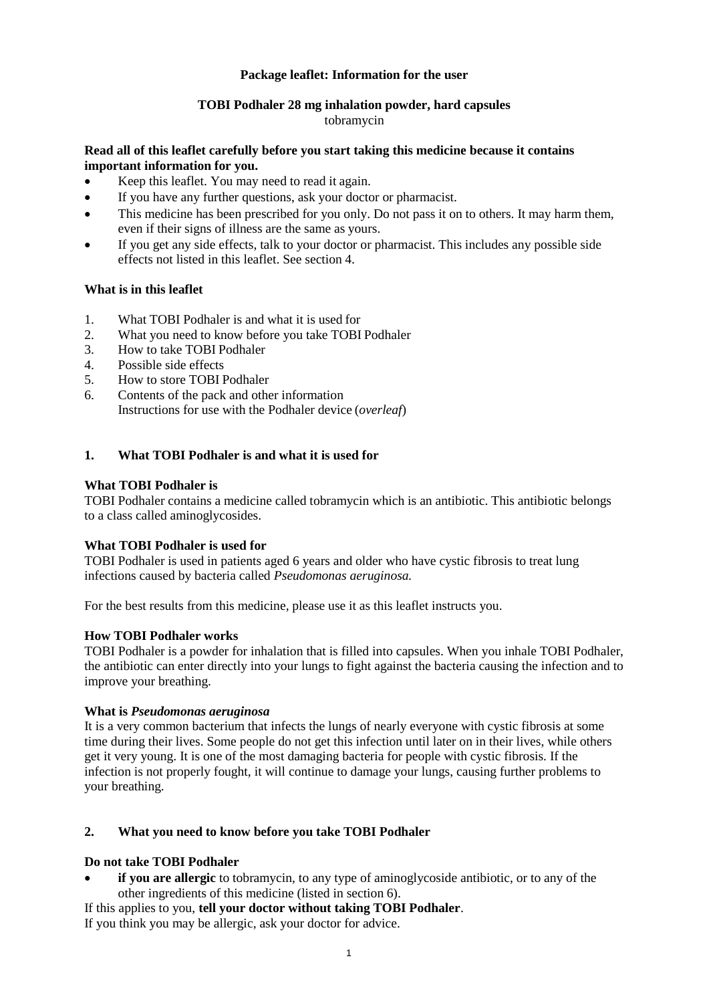## **Package leaflet: Information for the user**

# **TOBI Podhaler 28 mg inhalation powder, hard capsules**

### tobramycin

### **Read all of this leaflet carefully before you start taking this medicine because it contains important information for you.**

- Keep this leaflet. You may need to read it again.
- If you have any further questions, ask your doctor or pharmacist.
- This medicine has been prescribed for you only. Do not pass it on to others. It may harm them, even if their signs of illness are the same as yours.
- If you get any side effects, talk to your doctor or pharmacist. This includes any possible side effects not listed in this leaflet. See section 4.

## **What is in this leaflet**

- 1. What TOBI Podhaler is and what it is used for
- 2. What you need to know before you take TOBI Podhaler
- 3. How to take TOBI Podhaler
- 4. Possible side effects<br>5. How to store TOBI
- 5. How to store TOBI Podhaler
- 6. Contents of the pack and other information Instructions for use with the Podhaler device (*overleaf*)

## **1. What TOBI Podhaler is and what it is used for**

### **What TOBI Podhaler is**

TOBI Podhaler contains a medicine called tobramycin which is an antibiotic. This antibiotic belongs to a class called aminoglycosides.

### **What TOBI Podhaler is used for**

TOBI Podhaler is used in patients aged 6 years and older who have cystic fibrosis to treat lung infections caused by bacteria called *Pseudomonas aeruginosa.*

For the best results from this medicine, please use it as this leaflet instructs you.

### **How TOBI Podhaler works**

TOBI Podhaler is a powder for inhalation that is filled into capsules. When you inhale TOBI Podhaler, the antibiotic can enter directly into your lungs to fight against the bacteria causing the infection and to improve your breathing.

### **What is** *Pseudomonas aeruginosa*

It is a very common bacterium that infects the lungs of nearly everyone with cystic fibrosis at some time during their lives. Some people do not get this infection until later on in their lives, while others get it very young. It is one of the most damaging bacteria for people with cystic fibrosis. If the infection is not properly fought, it will continue to damage your lungs, causing further problems to your breathing.

### **2. What you need to know before you take TOBI Podhaler**

### **Do not take TOBI Podhaler**

• **if you are allergic** to tobramycin, to any type of aminoglycoside antibiotic, or to any of the other ingredients of this medicine (listed in section 6).

If this applies to you, **tell your doctor without taking TOBI Podhaler**. If you think you may be allergic, ask your doctor for advice.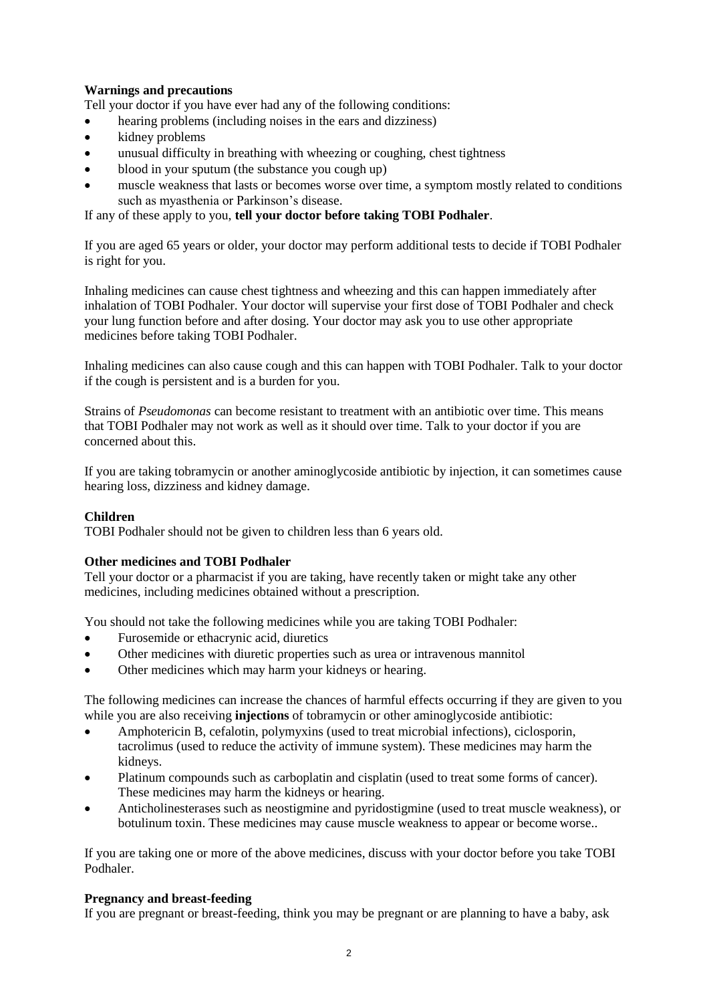# **Warnings and precautions**

Tell your doctor if you have ever had any of the following conditions:

- hearing problems (including noises in the ears and dizziness)
- kidney problems
- unusual difficulty in breathing with wheezing or coughing, chest tightness
- blood in your sputum (the substance you cough up)
- muscle weakness that lasts or becomes worse over time, a symptom mostly related to conditions such as myasthenia or Parkinson's disease.

If any of these apply to you, **tell your doctor before taking TOBI Podhaler**.

If you are aged 65 years or older, your doctor may perform additional tests to decide if TOBI Podhaler is right for you.

Inhaling medicines can cause chest tightness and wheezing and this can happen immediately after inhalation of TOBI Podhaler. Your doctor will supervise your first dose of TOBI Podhaler and check your lung function before and after dosing. Your doctor may ask you to use other appropriate medicines before taking TOBI Podhaler.

Inhaling medicines can also cause cough and this can happen with TOBI Podhaler. Talk to your doctor if the cough is persistent and is a burden for you.

Strains of *Pseudomonas* can become resistant to treatment with an antibiotic over time. This means that TOBI Podhaler may not work as well as it should over time. Talk to your doctor if you are concerned about this.

If you are taking tobramycin or another aminoglycoside antibiotic by injection, it can sometimes cause hearing loss, dizziness and kidney damage.

### **Children**

TOBI Podhaler should not be given to children less than 6 years old.

### **Other medicines and TOBI Podhaler**

Tell your doctor or a pharmacist if you are taking, have recently taken or might take any other medicines, including medicines obtained without a prescription.

You should not take the following medicines while you are taking TOBI Podhaler:

- Furosemide or ethacrynic acid, diuretics
- Other medicines with diuretic properties such as urea or intravenous mannitol
- Other medicines which may harm your kidneys or hearing.

The following medicines can increase the chances of harmful effects occurring if they are given to you while you are also receiving **injections** of tobramycin or other aminoglycoside antibiotic:

- Amphotericin B, cefalotin, polymyxins (used to treat microbial infections), ciclosporin, tacrolimus (used to reduce the activity of immune system). These medicines may harm the kidneys.
- Platinum compounds such as carboplatin and cisplatin (used to treat some forms of cancer). These medicines may harm the kidneys or hearing.
- Anticholinesterases such as neostigmine and pyridostigmine (used to treat muscle weakness), or botulinum toxin. These medicines may cause muscle weakness to appear or become worse..

If you are taking one or more of the above medicines, discuss with your doctor before you take TOBI Podhaler.

### **Pregnancy and breast-feeding**

If you are pregnant or breast-feeding, think you may be pregnant or are planning to have a baby, ask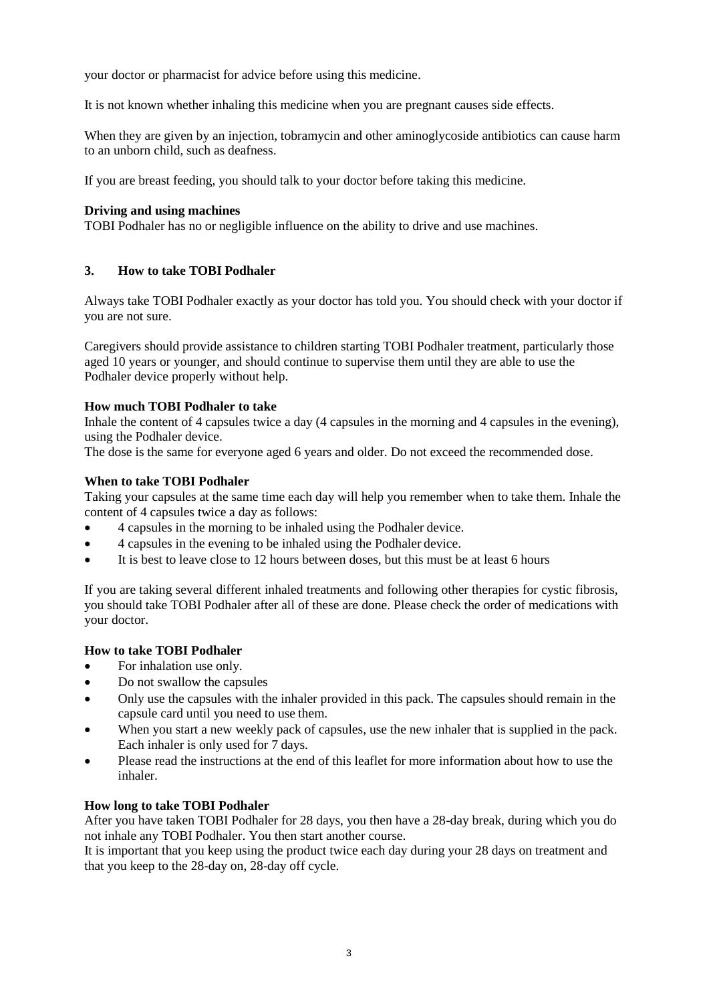your doctor or pharmacist for advice before using this medicine.

It is not known whether inhaling this medicine when you are pregnant causes side effects.

When they are given by an injection, tobramycin and other aminogly coside antibiotics can cause harm to an unborn child, such as deafness.

If you are breast feeding, you should talk to your doctor before taking this medicine.

## **Driving and using machines**

TOBI Podhaler has no or negligible influence on the ability to drive and use machines.

## **3. How to take TOBI Podhaler**

Always take TOBI Podhaler exactly as your doctor has told you. You should check with your doctor if you are not sure.

Caregivers should provide assistance to children starting TOBI Podhaler treatment, particularly those aged 10 years or younger, and should continue to supervise them until they are able to use the Podhaler device properly without help.

## **How much TOBI Podhaler to take**

Inhale the content of 4 capsules twice a day (4 capsules in the morning and 4 capsules in the evening), using the Podhaler device.

The dose is the same for everyone aged 6 years and older. Do not exceed the recommended dose.

### **When to take TOBI Podhaler**

Taking your capsules at the same time each day will help you remember when to take them. Inhale the content of 4 capsules twice a day as follows:

- 4 capsules in the morning to be inhaled using the Podhaler device.
- 4 capsules in the evening to be inhaled using the Podhaler device.
- It is best to leave close to 12 hours between doses, but this must be at least 6 hours

If you are taking several different inhaled treatments and following other therapies for cystic fibrosis, you should take TOBI Podhaler after all of these are done. Please check the order of medications with your doctor.

## **How to take TOBI Podhaler**

- For inhalation use only.
- Do not swallow the capsules
- Only use the capsules with the inhaler provided in this pack. The capsules should remain in the capsule card until you need to use them.
- When you start a new weekly pack of capsules, use the new inhaler that is supplied in the pack. Each inhaler is only used for 7 days.
- Please read the instructions at the end of this leaflet for more information about how to use the inhaler.

### **How long to take TOBI Podhaler**

After you have taken TOBI Podhaler for 28 days, you then have a 28-day break, during which you do not inhale any TOBI Podhaler. You then start another course.

It is important that you keep using the product twice each day during your 28 days on treatment and that you keep to the 28-day on, 28-day off cycle.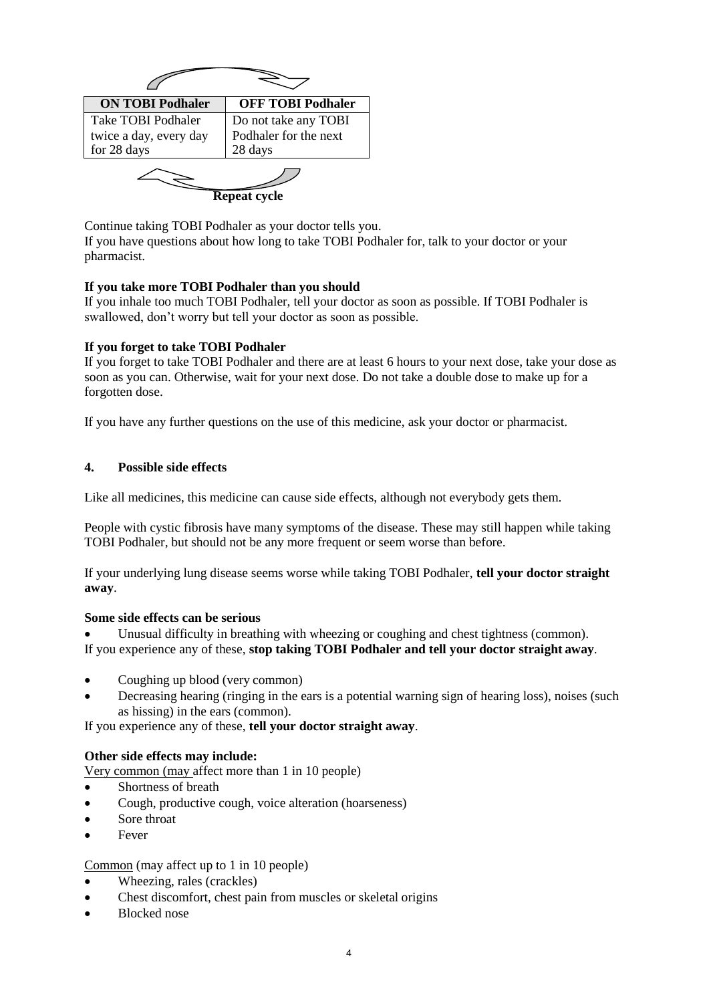| <b>ON TOBI Podhaler</b>                                            | <b>OFF TOBI Podhaler</b>                                 |
|--------------------------------------------------------------------|----------------------------------------------------------|
| <b>Take TOBI Podhaler</b><br>twice a day, every day<br>for 28 days | Do not take any TOBI<br>Podhaler for the next<br>28 days |
|                                                                    | <b>Repeat cycle</b>                                      |

Continue taking TOBI Podhaler as your doctor tells you. If you have questions about how long to take TOBI Podhaler for, talk to your doctor or your pharmacist.

## **If you take more TOBI Podhaler than you should**

If you inhale too much TOBI Podhaler, tell your doctor as soon as possible. If TOBI Podhaler is swallowed, don't worry but tell your doctor as soon as possible.

### **If you forget to take TOBI Podhaler**

If you forget to take TOBI Podhaler and there are at least 6 hours to your next dose, take your dose as soon as you can. Otherwise, wait for your next dose. Do not take a double dose to make up for a forgotten dose.

If you have any further questions on the use of this medicine, ask your doctor or pharmacist.

### **4. Possible side effects**

Like all medicines, this medicine can cause side effects, although not everybody gets them.

People with cystic fibrosis have many symptoms of the disease. These may still happen while taking TOBI Podhaler, but should not be any more frequent or seem worse than before.

If your underlying lung disease seems worse while taking TOBI Podhaler, **tell your doctor straight away**.

### **Some side effects can be serious**

Unusual difficulty in breathing with wheezing or coughing and chest tightness (common). If you experience any of these, **stop taking TOBI Podhaler and tell your doctor straight away**.

- Coughing up blood (very common)
- Decreasing hearing (ringing in the ears is a potential warning sign of hearing loss), noises (such as hissing) in the ears (common).

If you experience any of these, **tell your doctor straight away**.

# **Other side effects may include:**

Very common (may affect more than 1 in 10 people)

- Shortness of breath
- Cough, productive cough, voice alteration (hoarseness)
- Sore throat
- **Fever**

### Common (may affect up to 1 in 10 people)

- Wheezing, rales (crackles)
- Chest discomfort, chest pain from muscles or skeletal origins
- Blocked nose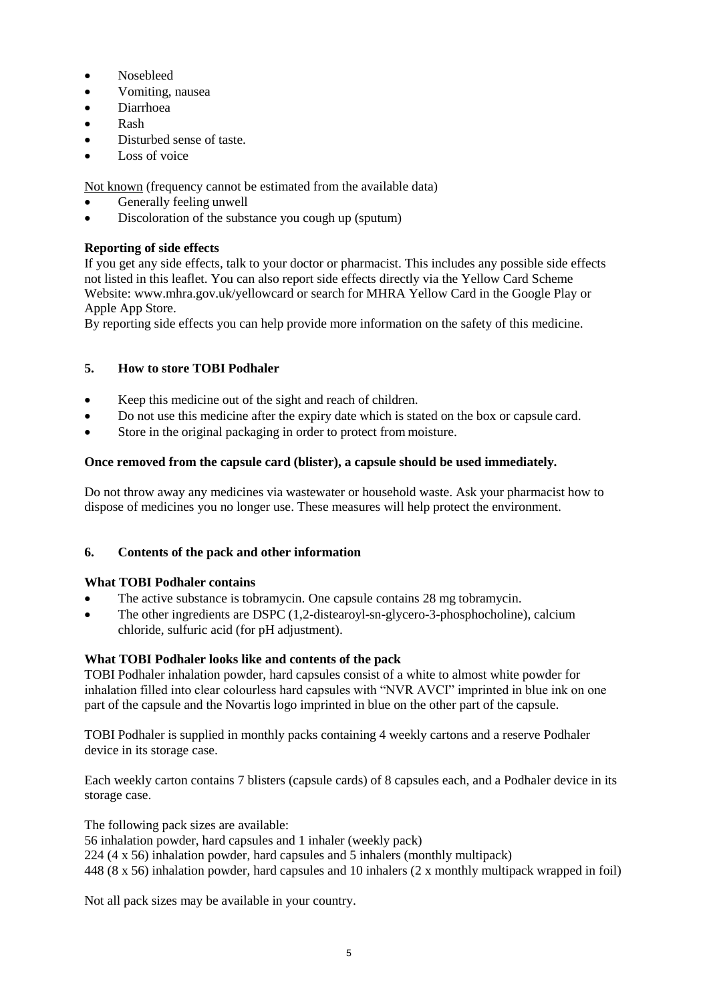- Nosebleed
- Vomiting, nausea
- Diarrhoea
- Rash
- Disturbed sense of taste.
- Loss of voice

Not known (frequency cannot be estimated from the available data)

- Generally feeling unwell
- Discoloration of the substance you cough up (sputum)

# **Reporting of side effects**

If you get any side effects, talk to your doctor or pharmacist. This includes any possible side effects not listed in this leaflet. You can also report side effects directly via the Yellow Card Scheme Website: www.mhra.gov.uk/yellowcard or search for MHRA Yellow Card in the Google Play or Apple App Store.

By reporting side effects you can help provide more information on the safety of this medicine.

# **5. How to store TOBI Podhaler**

- Keep this medicine out of the sight and reach of children.
- Do not use this medicine after the expiry date which is stated on the box or capsule card.
- Store in the original packaging in order to protect from moisture.

# **Once removed from the capsule card (blister), a capsule should be used immediately.**

Do not throw away any medicines via wastewater or household waste. Ask your pharmacist how to dispose of medicines you no longer use. These measures will help protect the environment.

# **6. Contents of the pack and other information**

# **What TOBI Podhaler contains**

- The active substance is tobramycin. One capsule contains 28 mg tobramycin.
- The other ingredients are DSPC (1,2-distearoyl-sn-glycero-3-phosphocholine), calcium chloride, sulfuric acid (for pH adjustment).

# **What TOBI Podhaler looks like and contents of the pack**

TOBI Podhaler inhalation powder, hard capsules consist of a white to almost white powder for inhalation filled into clear colourless hard capsules with "NVR AVCI" imprinted in blue ink on one part of the capsule and the Novartis logo imprinted in blue on the other part of the capsule.

TOBI Podhaler is supplied in monthly packs containing 4 weekly cartons and a reserve Podhaler device in its storage case.

Each weekly carton contains 7 blisters (capsule cards) of 8 capsules each, and a Podhaler device in its storage case.

The following pack sizes are available:

56 inhalation powder, hard capsules and 1 inhaler (weekly pack)

 $224$  (4 x 56) inhalation powder, hard capsules and 5 inhalers (monthly multipack)

448 (8 x 56) inhalation powder, hard capsules and 10 inhalers (2 x monthly multipack wrapped in foil)

Not all pack sizes may be available in your country.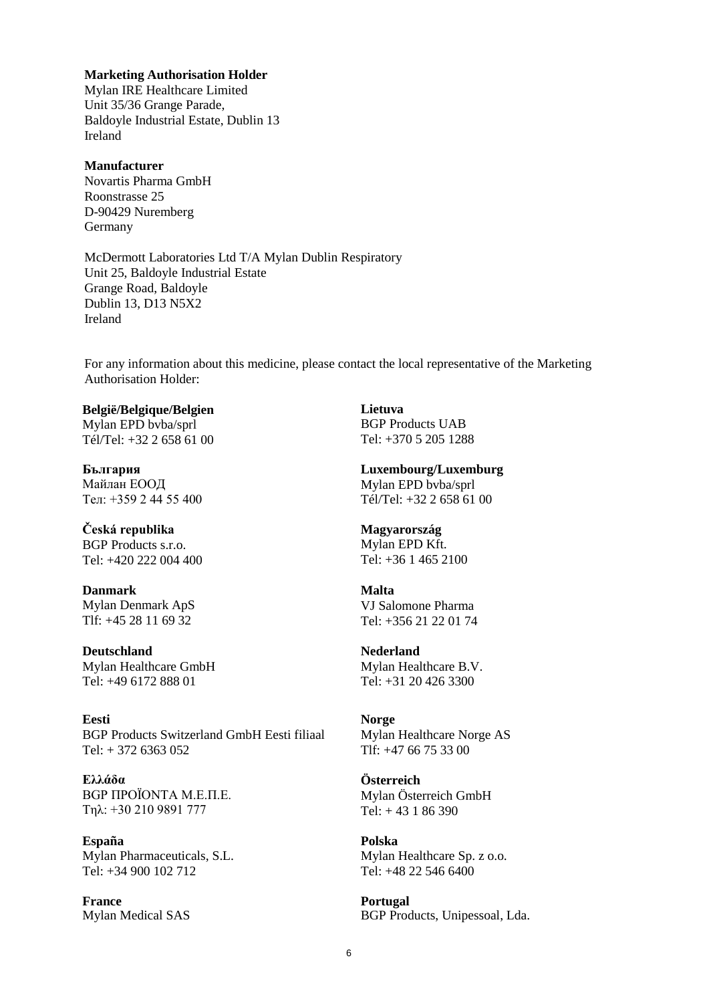### **Marketing Authorisation Holder**

Mylan IRE Healthcare Limited Unit 35/36 Grange Parade, Baldoyle Industrial Estate, Dublin 13 Ireland

### **Manufacturer**

Novartis Pharma GmbH Roonstrasse 25 D-90429 Nuremberg Germany

McDermott Laboratories Ltd T/A Mylan Dublin Respiratory Unit 25, Baldoyle Industrial Estate Grange Road, Baldoyle Dublin 13, D13 N5X2 Ireland

For any information about this medicine, please contact the local representative of the Marketing Authorisation Holder:

#### **België/Belgique/Belgien**  Mylan EPD bvba/sprl

Tél/Tel: +32 2 658 61 00

**България** Майлан ЕООД Тел: +359 2 44 55 400

**Česká republika**  BGP Products s.r.o. Tel: +420 222 004 400

**Danmark** Mylan Denmark ApS Tlf: +45 28 11 69 32

**Deutschland** Mylan Healthcare GmbH Tel: +49 6172 888 01

**Eesti** BGP Products Switzerland GmbH Eesti filiaal  $Tel: + 372 6363 052$ 

**Ελλάδα** BGP ΠΡΟΪΟΝΤΑ Μ.Ε.Π.Ε. Τηλ: +30 210 9891 777

**España** Mylan Pharmaceuticals, S.L. Tel: +34 900 102 712

**France** Mylan Medical SAS **Lietuva** BGP Products UAB Tel: +370 5 205 1288

**Luxembourg/Luxemburg**  Mylan EPD bvba/sprl Tél/Tel: +32 2 658 61 00

#### **Magyarország**  Mylan EPD Kft. Tel: +36 1 465 2100

#### **Malta** VJ Salomone Pharma Tel: +356 21 22 01 74

**Nederland** Mylan Healthcare B.V. Tel: +31 20 426 3300

## **Norge** Mylan Healthcare Norge AS

 $T$ If:  $+47$  66 75 33 00

## **Österreich** Mylan Österreich GmbH Tel: + 43 1 86 390

**Polska** Mylan Healthcare Sp. z o.o. Tel: +48 22 546 6400

**Portugal** BGP Products, Unipessoal, Lda.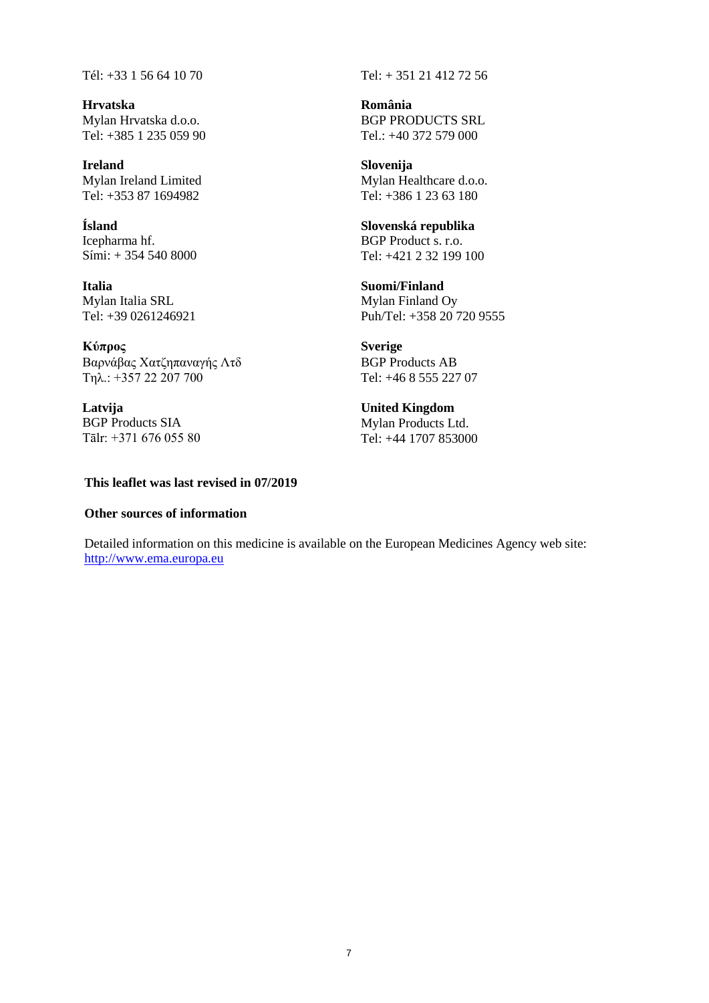Tél: +33 1 56 64 10 70 Tel: + 351 21 412 72 56

**Hrvatska** Mylan Hrvatska d.o.o. Tel: +385 1 235 059 90

**Ireland** Mylan Ireland Limited Tel: +353 87 1694982

**Ísland** Icepharma hf. Sími: + 354 540 8000

**Italia** Mylan Italia SRL Tel: +39 0261246921

**Κύπρος** Bαρνάβας Χατζηπαναγής Λτδ Τηλ.: +357 22 207 700

**Latvija** BGP Products SIA Tālr: +371 676 055 80

### **This leaflet was last revised in 07/2019**

### **Other sources of information**

**România** BGP PRODUCTS SRL Tel.: +40 372 579 000

**Slovenija** Mylan Healthcare d.o.o. Tel: +386 1 23 63 180

**Slovenská republika** BGP Product s. r.o. Tel: +421 2 32 199 100

**Suomi/Finland** Mylan Finland Oy Puh/Tel: +358 20 720 9555

**Sverige** BGP Products AB Tel: +46 8 555 227 07

**United Kingdom**  Mylan Products Ltd. Tel: +44 1707 853000

Detailed information on this medicine is available on the European Medicines Agency web site: [http://www.ema.europa.eu](http://www.ema.europa.eu/)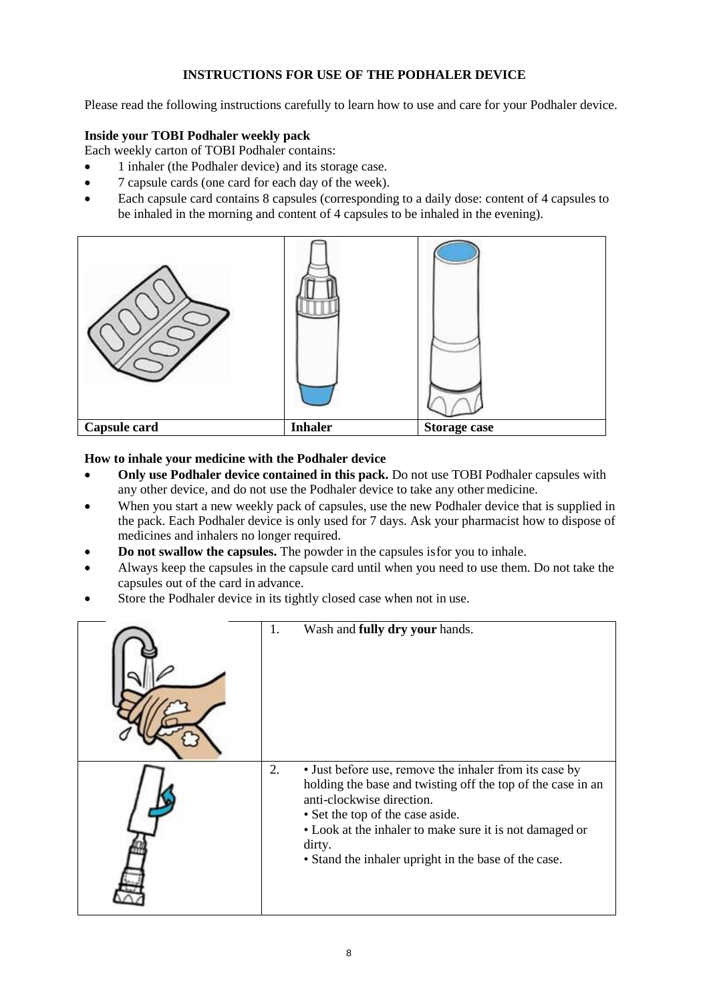# **INSTRUCTIONS FOR USE OF THE PODHALER DEVICE**

Please read the following instructions carefully to learn how to use and care for your Podhaler device.

# **Inside your TOBI Podhaler weekly pack**

Each weekly carton of TOBI Podhaler contains:

- 1 inhaler (the Podhaler device) and its storage case.
- 7 capsule cards (one card for each day of the week).
- Each capsule card contains 8 capsules (corresponding to a daily dose: content of 4 capsules to be inhaled in the morning and content of 4 capsules to be inhaled in the evening).



## **How to inhale your medicine with the Podhaler device**

- **Only use Podhaler device contained in this pack.** Do not use TOBI Podhaler capsules with any other device, and do not use the Podhaler device to take any other medicine.
- When you start a new weekly pack of capsules, use the new Podhaler device that is supplied in the pack. Each Podhaler device is only used for 7 days. Ask your pharmacist how to dispose of medicines and inhalers no longer required.
- **Do not swallow the capsules.** The powder in the capsules isfor you to inhale.
- Always keep the capsules in the capsule card until when you need to use them. Do not take the capsules out of the card in advance.
- Store the Podhaler device in its tightly closed case when not in use.

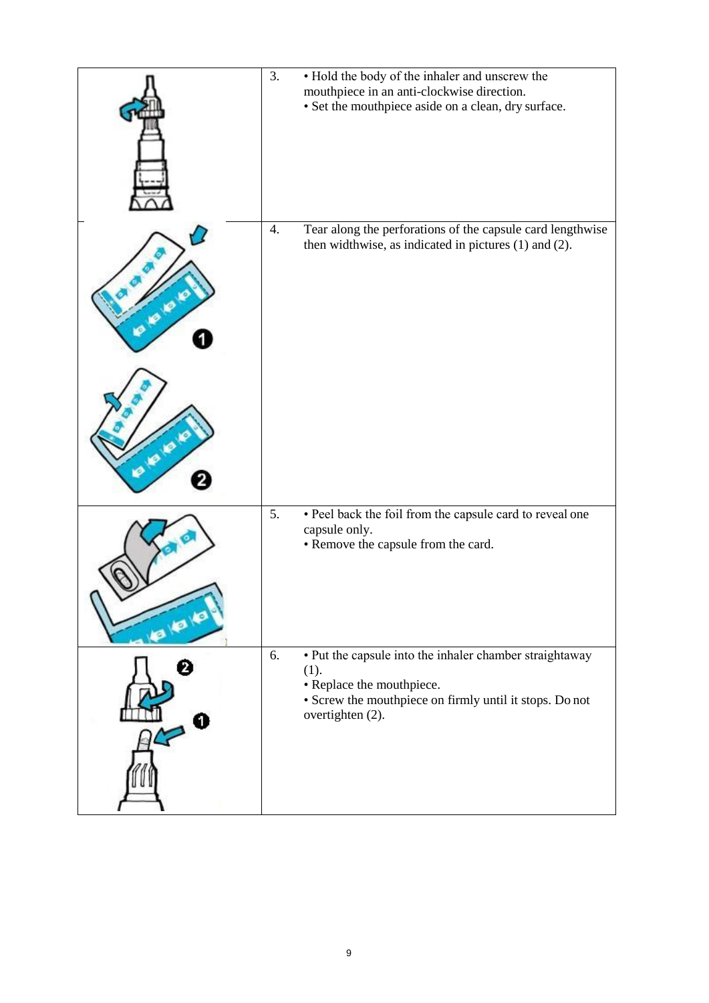|         | 3. | • Hold the body of the inhaler and unscrew the<br>mouthpiece in an anti-clockwise direction.<br>• Set the mouthpiece aside on a clean, dry surface.                         |
|---------|----|-----------------------------------------------------------------------------------------------------------------------------------------------------------------------------|
|         | 4. | Tear along the perforations of the capsule card lengthwise<br>then widthwise, as indicated in pictures (1) and (2).                                                         |
| -181818 | 5. | · Peel back the foil from the capsule card to reveal one<br>capsule only.<br>• Remove the capsule from the card.                                                            |
|         | 6. | • Put the capsule into the inhaler chamber straightaway<br>(1).<br>• Replace the mouthpiece.<br>• Screw the mouthpiece on firmly until it stops. Do not<br>overtighten (2). |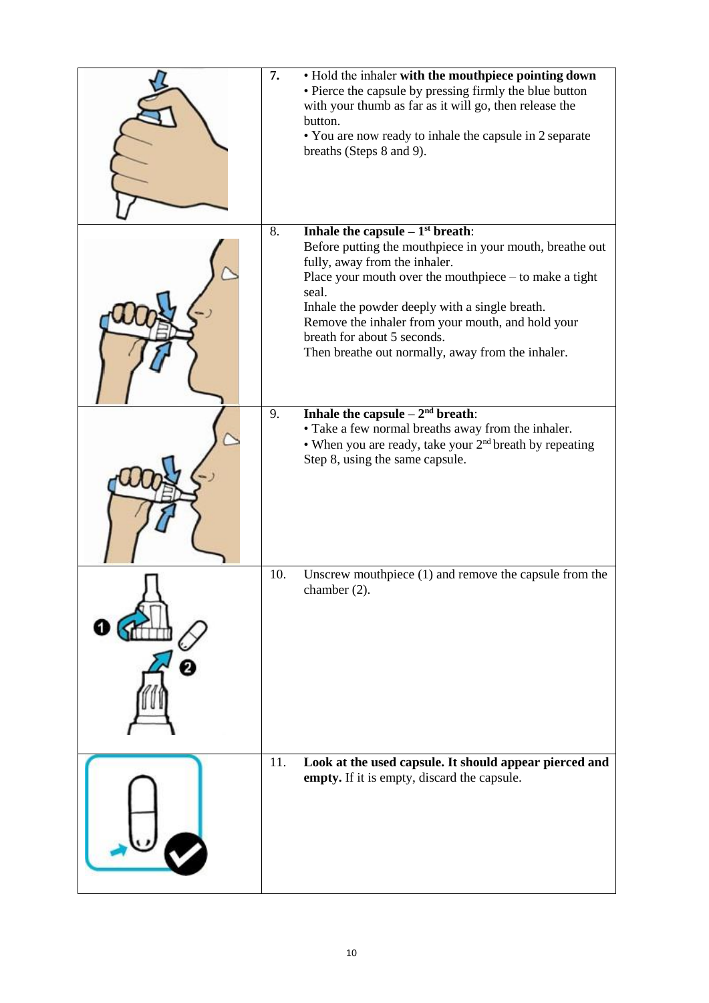| 7.  | • Hold the inhaler with the mouthpiece pointing down<br>• Pierce the capsule by pressing firmly the blue button<br>with your thumb as far as it will go, then release the<br>button.<br>• You are now ready to inhale the capsule in 2 separate<br>breaths (Steps 8 and 9).                                                                                                                    |
|-----|------------------------------------------------------------------------------------------------------------------------------------------------------------------------------------------------------------------------------------------------------------------------------------------------------------------------------------------------------------------------------------------------|
| 8.  | Inhale the capsule $-1st$ breath:<br>Before putting the mouthpiece in your mouth, breathe out<br>fully, away from the inhaler.<br>Place your mouth over the mouthpiece $-$ to make a tight<br>seal.<br>Inhale the powder deeply with a single breath.<br>Remove the inhaler from your mouth, and hold your<br>breath for about 5 seconds.<br>Then breathe out normally, away from the inhaler. |
| 9.  | Inhale the capsule $-2nd$ breath:<br>• Take a few normal breaths away from the inhaler.<br>• When you are ready, take your $2nd$ breath by repeating<br>Step 8, using the same capsule.                                                                                                                                                                                                        |
| 10. | Unscrew mouthpiece $(1)$ and remove the capsule from the<br>chamber $(2)$ .                                                                                                                                                                                                                                                                                                                    |
| 11. | Look at the used capsule. It should appear pierced and<br>empty. If it is empty, discard the capsule.                                                                                                                                                                                                                                                                                          |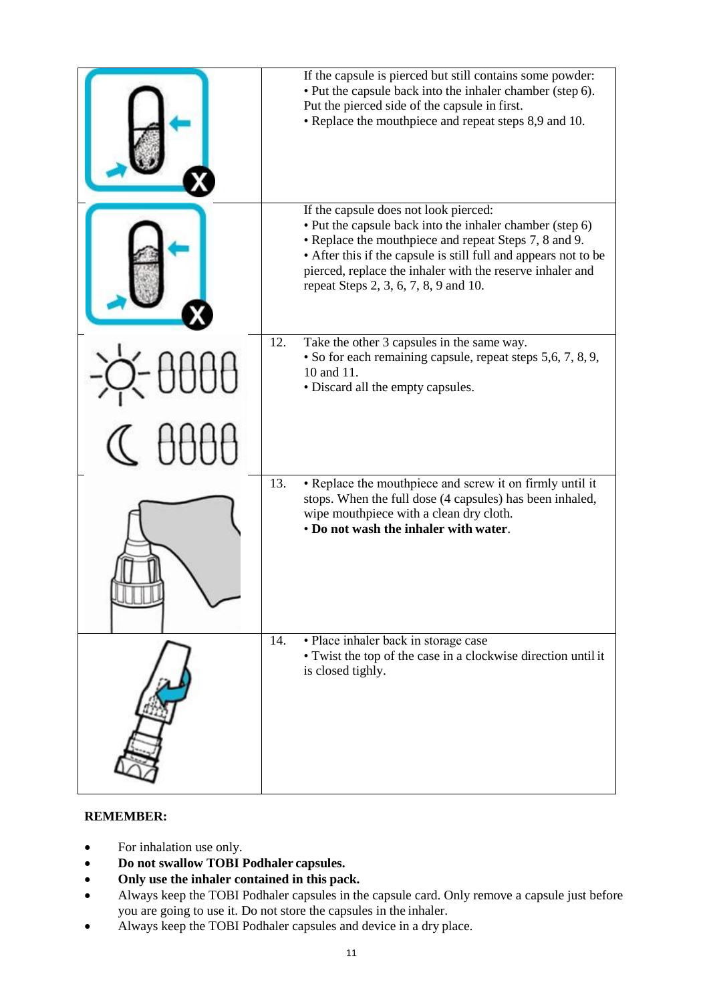| If the capsule is pierced but still contains some powder:<br>• Put the capsule back into the inhaler chamber (step 6).<br>Put the pierced side of the capsule in first.<br>• Replace the mouthpiece and repeat steps 8,9 and 10.                                                                                                    |
|-------------------------------------------------------------------------------------------------------------------------------------------------------------------------------------------------------------------------------------------------------------------------------------------------------------------------------------|
| If the capsule does not look pierced:<br>• Put the capsule back into the inhaler chamber (step 6)<br>• Replace the mouthpiece and repeat Steps 7, 8 and 9.<br>• After this if the capsule is still full and appears not to be<br>pierced, replace the inhaler with the reserve inhaler and<br>repeat Steps 2, 3, 6, 7, 8, 9 and 10. |
| 12.<br>Take the other 3 capsules in the same way.<br>• So for each remaining capsule, repeat steps 5,6, 7, 8, 9,<br>10 and 11.<br>• Discard all the empty capsules.                                                                                                                                                                 |
|                                                                                                                                                                                                                                                                                                                                     |
| • Replace the mouthpiece and screw it on firmly until it<br>13.<br>stops. When the full dose (4 capsules) has been inhaled,<br>wipe mouthpiece with a clean dry cloth.<br>• Do not wash the inhaler with water.                                                                                                                     |
| · Place inhaler back in storage case<br>14.<br>• Twist the top of the case in a clockwise direction until it<br>is closed tighly.                                                                                                                                                                                                   |

# **REMEMBER:**

- For inhalation use only.
- **Do not swallow TOBI Podhaler capsules.**
- **Only use the inhaler contained in this pack.**
- Always keep the TOBI Podhaler capsules in the capsule card. Only remove a capsule just before you are going to use it. Do not store the capsules in the inhaler.
- Always keep the TOBI Podhaler capsules and device in a dry place.